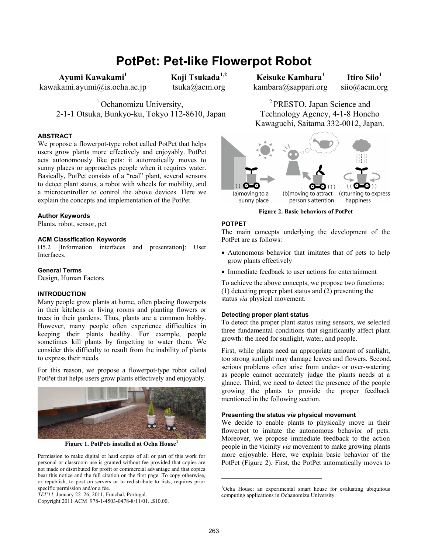# **PotPet: Pet-like Flowerpot Robot**

Ayumi Kawakami<sup>1</sup>

kawakami.ayumi@is.ocha.ac.jp

**Koji Tsukada1,2**  tsuka@acm.org

<sup>1</sup> Ochanomizu University, 2-1-1 Otsuka, Bunkyo-ku, Tokyo 112-8610, Japan

## **ABSTRACT**

We propose a flowerpot-type robot called PotPet that helps users grow plants more effectively and enjoyably. PotPet acts autonomously like pets: it automatically moves to sunny places or approaches people when it requires water. Basically, PotPet consists of a "real" plant, several sensors to detect plant status, a robot with wheels for mobility, and a microcontroller to control the above devices. Here we explain the concepts and implementation of the PotPet.

# **Author Keywords**

Plants, robot, sensor, pet

## **ACM Classification Keywords**

H5.2 [Information interfaces and presentation]: User Interfaces.

## **General Terms**

Design, Human Factors

# **INTRODUCTION**

Many people grow plants at home, often placing flowerpots in their kitchens or living rooms and planting flowers or trees in their gardens. Thus, plants are a common hobby. However, many people often experience difficulties in keeping their plants healthy. For example, people sometimes kill plants by forgetting to water them. We consider this difficulty to result from the inability of plants to express their needs.

For this reason, we propose a flowerpot-type robot called PotPet that helps users grow plants effectively and enjoyably.



**Figure 1. PotPets installed at Ocha House<sup>1</sup>**

Permission to make digital or hard copies of all or part of this work for personal or classroom use is granted without fee provided that copies are not made or distributed for profit or commercial advantage and that copies bear this notice and the full citation on the first page. To copy otherwise, or republish, to post on servers or to redistribute to lists, requires prior specific permission and/or a fee.

Copyright 2011 ACM 978-1-4503-0478-8/11/01...\$10.00.

**Keisuke Kambara1**  kambara@sappari.org

**Itiro Siio<sup>1</sup>** siio@acm.org

<sup>2</sup> PRESTO, Japan Science and Technology Agency, 4-1-8 Honcho Kawaguchi, Saitama 332-0012, Japan.



**Figure 2. Basic behaviors of PotPet**

## **POTPET**

The main concepts underlying the development of the PotPet are as follows:

- Autonomous behavior that imitates that of pets to help grow plants effectively
- Immediate feedback to user actions for entertainment

To achieve the above concepts, we propose two functions: (1) detecting proper plant status and (2) presenting the status *via* physical movement.

## **Detecting proper plant status**

To detect the proper plant status using sensors, we selected three fundamental conditions that significantly affect plant growth: the need for sunlight, water, and people. <sup>1</sup>

First, while plants need an appropriate amount of sunlight, too strong sunlight may damage leaves and flowers. Second, serious problems often arise from under- or over-watering as people cannot accurately judge the plants needs at a glance. Third, we need to detect the presence of the people growing the plants to provide the proper feedback mentioned in the following section.

# **Presenting the status** *via* **physical movement**

We decide to enable plants to physically move in their flowerpot to imitate the autonomous behavior of pets. Moreover, we propose immediate feedback to the action people in the vicinity *via* movement to make growing plants more enjoyable. Here, we explain basic behavior of the PotPet (Figure 2). First, the PotPet automatically moves to

l

*TEI'11,* January 22–26, 2011, Funchal, Portugal.

<sup>1</sup> Ocha House: an experimental smart house for evaluating ubiquitous computing applications in Ochanomizu University.